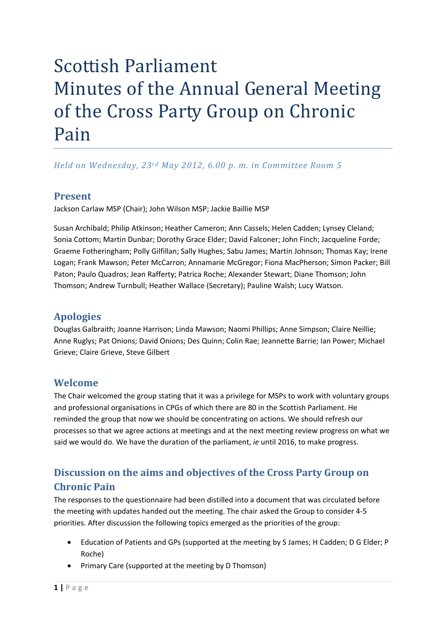# Scottish Parliament Minutes of the Annual General Meeting of the Cross Party Group on Chronic Pain

*Held on Wednesday, 23rd May 2012, 6.00 p. m. in Committee Room 5*

#### **Present**

Jackson Carlaw MSP (Chair); John Wilson MSP; Jackie Baillie MSP

Susan Archibald; Philip Atkinson; Heather Cameron; Ann Cassels; Helen Cadden; Lynsey Cleland; Sonia Cottom; Martin Dunbar; Dorothy Grace Elder; David Falconer; John Finch; Jacqueline Forde; Graeme Fotheringham; Polly Gilfillan; Sally Hughes; Sabu James; Martin Johnson; Thomas Kay; Irene Logan; Frank Mawson; Peter McCarron; Annamarie McGregor; Fiona MacPherson; Simon Packer; Bill Paton; Paulo Quadros; Jean Rafferty; Patrica Roche; Alexander Stewart; Diane Thomson; John Thomson; Andrew Turnbull; Heather Wallace (Secretary); Pauline Walsh; Lucy Watson.

# **Apologies**

Douglas Galbraith; Joanne Harrison; Linda Mawson; Naomi Phillips; Anne Simpson; Claire Neillie; Anne Ruglys; Pat Onions; David Onions; Des Quinn; Colin Rae; Jeannette Barrie; Ian Power; Michael Grieve; Claire Grieve, Steve Gilbert

#### **Welcome**

The Chair welcomed the group stating that it was a privilege for MSPs to work with voluntary groups and professional organisations in CPGs of which there are 80 in the Scottish Parliament. He reminded the group that now we should be concentrating on actions. We should refresh our processes so that we agree actions at meetings and at the next meeting review progress on what we said we would do. We have the duration of the parliament, *ie* until 2016, to make progress.

# **Discussion on the aims and objectives of the Cross Party Group on Chronic Pain**

The responses to the questionnaire had been distilled into a document that was circulated before the meeting with updates handed out the meeting. The chair asked the Group to consider 4‐5 priorities. After discussion the following topics emerged as the priorities of the group:

- Education of Patients and GPs (supported at the meeting by S James; H Cadden; D G Elder; P Roche)
- Primary Care (supported at the meeting by D Thomson)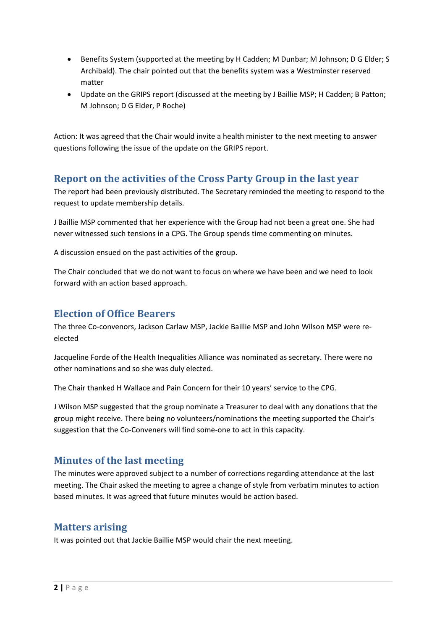- Benefits System (supported at the meeting by H Cadden; M Dunbar; M Johnson; D G Elder; S Archibald). The chair pointed out that the benefits system was a Westminster reserved matter
- Update on the GRIPS report (discussed at the meeting by J Baillie MSP; H Cadden; B Patton; M Johnson; D G Elder, P Roche)

Action: It was agreed that the Chair would invite a health minister to the next meeting to answer questions following the issue of the update on the GRIPS report.

### **Report on the activities of the Cross Party Group in the last year**

The report had been previously distributed. The Secretary reminded the meeting to respond to the request to update membership details.

J Baillie MSP commented that her experience with the Group had not been a great one. She had never witnessed such tensions in a CPG. The Group spends time commenting on minutes.

A discussion ensued on the past activities of the group.

The Chair concluded that we do not want to focus on where we have been and we need to look forward with an action based approach.

#### **Election of Office Bearers**

The three Co-convenors, Jackson Carlaw MSP, Jackie Baillie MSP and John Wilson MSP were reelected

Jacqueline Forde of the Health Inequalities Alliance was nominated as secretary. There were no other nominations and so she was duly elected.

The Chair thanked H Wallace and Pain Concern for their 10 years' service to the CPG.

J Wilson MSP suggested that the group nominate a Treasurer to deal with any donations that the group might receive. There being no volunteers/nominations the meeting supported the Chair's suggestion that the Co‐Conveners will find some‐one to act in this capacity.

# **Minutes of the last meeting**

The minutes were approved subject to a number of corrections regarding attendance at the last meeting. The Chair asked the meeting to agree a change of style from verbatim minutes to action based minutes. It was agreed that future minutes would be action based.

# **Matters arising**

It was pointed out that Jackie Baillie MSP would chair the next meeting.